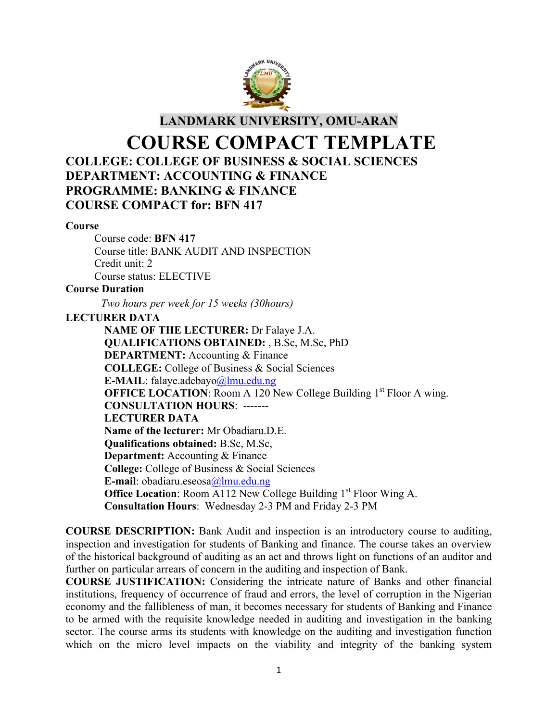

**LANDMARK UNIVERSITY, OMU-ARAN**

# **COURSE COMPACT TEMPLATE COLLEGE: COLLEGE OF BUSINESS & SOCIAL SCIENCES DEPARTMENT: ACCOUNTING & FINANCE PROGRAMME: BANKING & FINANCE COURSE COMPACT for: BFN 417**

#### **Course**

Course code: **BFN 417** Course title: BANK AUDIT AND INSPECTION Credit unit: 2 Course status: ELECTIVE

## **Course Duration**

*Two hours per week for 15 weeks (30hours)*

## **LECTURER DATA**

**NAME OF THE LECTURER:** Dr Falaye J.A. **QUALIFICATIONS OBTAINED:** , B.Sc, M.Sc, PhD **DEPARTMENT:** Accounting & Finance **COLLEGE:** College of Business & Social Sciences **E-MAIL**: falaye.adebayo@lmu.edu.ng **OFFICE LOCATION:** Room A 120 New College Building 1<sup>st</sup> Floor A wing. **CONSULTATION HOURS**: ------- **LECTURER DATA Name of the lecturer:** Mr Obadiaru.D.E. **Qualifications obtained:** B.Sc, M.Sc, **Department:** Accounting & Finance **College:** College of Business & Social Sciences **E-mail**: obadiaru.eseosa@lmu.edu.ng **Office Location:** Room A112 New College Building 1<sup>st</sup> Floor Wing A. **Consultation Hours**: Wednesday 2-3 PM and Friday 2-3 PM

**COURSE DESCRIPTION:** Bank Audit and inspection is an introductory course to auditing, inspection and investigation for students of Banking and finance. The course takes an overview of the historical background of auditing as an act and throws light on functions of an auditor and further on particular arrears of concern in the auditing and inspection of Bank.

**COURSE JUSTIFICATION:** Considering the intricate nature of Banks and other financial institutions, frequency of occurrence of fraud and errors, the level of corruption in the Nigerian economy and the fallibleness of man, it becomes necessary for students of Banking and Finance to be armed with the requisite knowledge needed in auditing and investigation in the banking sector. The course arms its students with knowledge on the auditing and investigation function which on the micro level impacts on the viability and integrity of the banking system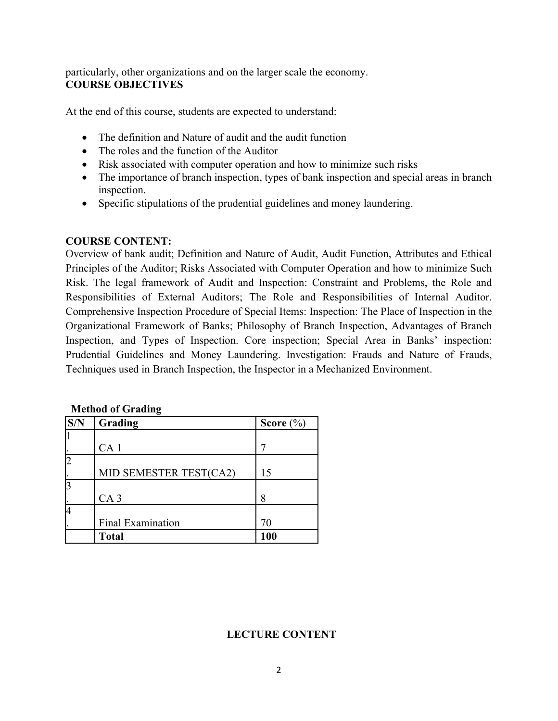particularly, other organizations and on the larger scale the economy. **COURSE OBJECTIVES**

At the end of this course, students are expected to understand:

- The definition and Nature of audit and the audit function
- The roles and the function of the Auditor
- Risk associated with computer operation and how to minimize such risks
- The importance of branch inspection, types of bank inspection and special areas in branch inspection.
- Specific stipulations of the prudential guidelines and money laundering.

## **COURSE CONTENT:**

Overview of bank audit; Definition and Nature of Audit, Audit Function, Attributes and Ethical Principles of the Auditor; Risks Associated with Computer Operation and how to minimize Such Risk. The legal framework of Audit and Inspection: Constraint and Problems, the Role and Responsibilities of External Auditors; The Role and Responsibilities of Internal Auditor. Comprehensive Inspection Procedure of Special Items: Inspection: The Place of Inspection in the Organizational Framework of Banks; Philosophy of Branch Inspection, Advantages of Branch Inspection, and Types of Inspection. Core inspection; Special Area in Banks' inspection: Prudential Guidelines and Money Laundering. Investigation: Frauds and Nature of Frauds, Techniques used in Branch Inspection, the Inspector in a Mechanized Environment.

| S/N | Grading                  | Score $(\% )$ |
|-----|--------------------------|---------------|
|     |                          |               |
|     | CA <sub>1</sub>          |               |
|     |                          |               |
|     | MID SEMESTER TEST(CA2)   | 15            |
|     |                          |               |
|     | CA <sub>3</sub>          | 8             |
|     |                          |               |
|     | <b>Final Examination</b> | 70            |
|     | <b>Total</b>             | 100           |

**Method of Grading**

## **LECTURE CONTENT**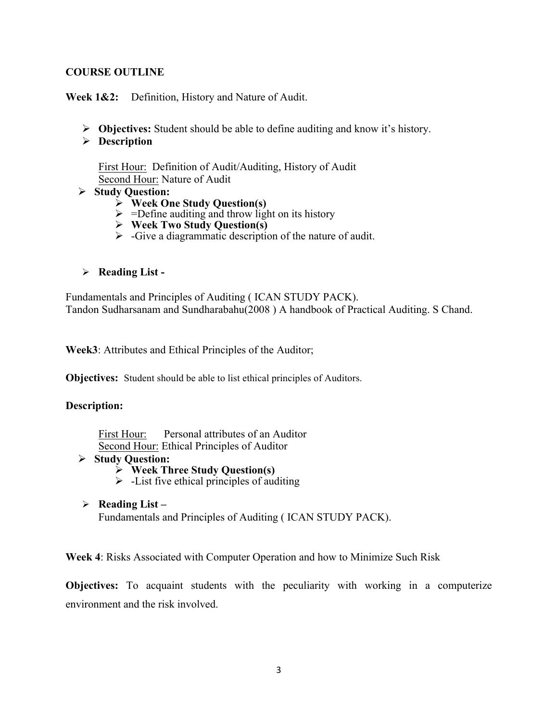## **COURSE OUTLINE**

**Week 1&2:** Definition, History and Nature of Audit.

- Ø **Objectives:** Student should be able to define auditing and know it's history.
- Ø **Description**

First Hour: Definition of Audit/Auditing, History of Audit Second Hour: Nature of Audit

- Ø **Study Question:** 
	- Ø **Week One Study Question(s)**
	- $\triangleright$  =Define auditing and throw light on its history
	- Ø **Week Two Study Question(s)**
	- $\triangleright$  -Give a diagrammatic description of the nature of audit.
- Ø **Reading List -**

Fundamentals and Principles of Auditing ( ICAN STUDY PACK). Tandon Sudharsanam and Sundharabahu(2008 ) A handbook of Practical Auditing. S Chand.

**Week3**: Attributes and Ethical Principles of the Auditor;

**Objectives:** Student should be able to list ethical principles of Auditors.

#### **Description:**

First Hour: Personal attributes of an Auditor Second Hour: Ethical Principles of Auditor

- Ø **Study Question:** 
	- Ø **Week Three Study Question(s)**
	- $\triangleright$  -List five ethical principles of auditing
- Ø **Reading List –** Fundamentals and Principles of Auditing ( ICAN STUDY PACK).

**Week 4**: Risks Associated with Computer Operation and how to Minimize Such Risk

**Objectives:** To acquaint students with the peculiarity with working in a computerize environment and the risk involved.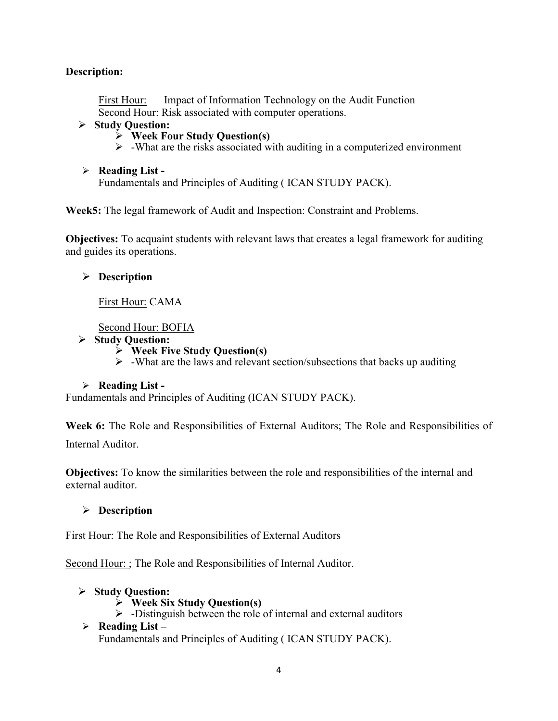# **Description:**

First Hour: Impact of Information Technology on the Audit Function Second Hour: Risk associated with computer operations.

## Ø **Study Question:**

- Ø **Week Four Study Question(s)**
- $\triangleright$  -What are the risks associated with auditing in a computerized environment
- Ø **Reading List -**

Fundamentals and Principles of Auditing ( ICAN STUDY PACK).

**Week5:** The legal framework of Audit and Inspection: Constraint and Problems.

**Objectives:** To acquaint students with relevant laws that creates a legal framework for auditing and guides its operations.

# Ø **Description**

First Hour: CAMA

Second Hour: BOFIA

- Ø **Study Question:** 
	- Ø **Week Five Study Question(s)**
	- $\triangleright$  -What are the laws and relevant section/subsections that backs up auditing

## Ø **Reading List -**

Fundamentals and Principles of Auditing (ICAN STUDY PACK).

**Week 6:** The Role and Responsibilities of External Auditors; The Role and Responsibilities of Internal Auditor.

**Objectives:** To know the similarities between the role and responsibilities of the internal and external auditor.

Ø **Description** 

First Hour: The Role and Responsibilities of External Auditors

Second Hour: ; The Role and Responsibilities of Internal Auditor.

- Ø **Study Question:** 
	- Ø **Week Six Study Question(s)**
	- $\triangleright$  -Distinguish between the role of internal and external auditors
- Ø **Reading List –** Fundamentals and Principles of Auditing ( ICAN STUDY PACK).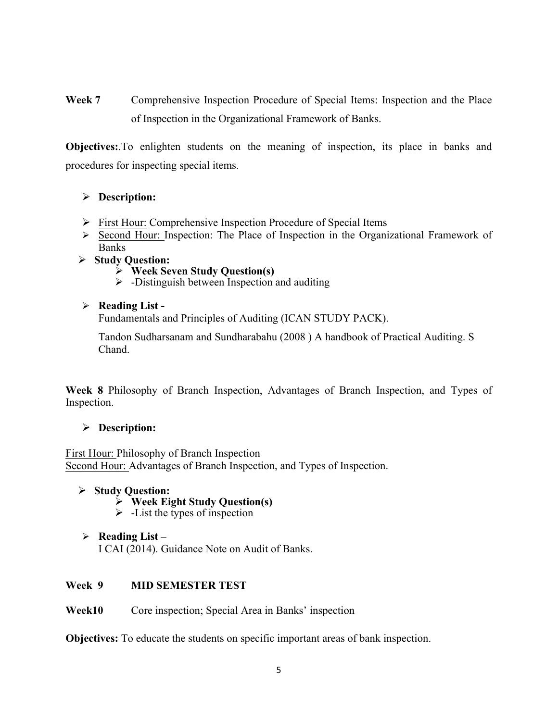**Week 7** Comprehensive Inspection Procedure of Special Items: Inspection and the Place of Inspection in the Organizational Framework of Banks.

**Objectives:**.To enlighten students on the meaning of inspection, its place in banks and procedures for inspecting special items.

# Ø **Description:**

- Ø First Hour: Comprehensive Inspection Procedure of Special Items
- $\triangleright$  Second Hour: Inspection: The Place of Inspection in the Organizational Framework of **Banks**
- Ø **Study Question:** 
	- Ø **Week Seven Study Question(s)**
	- $\triangleright$  -Distinguish between Inspection and auditing

## Ø **Reading List -**

Fundamentals and Principles of Auditing (ICAN STUDY PACK).

Tandon Sudharsanam and Sundharabahu (2008 ) A handbook of Practical Auditing. S Chand.

**Week 8** Philosophy of Branch Inspection, Advantages of Branch Inspection, and Types of Inspection.

## Ø **Description:**

First Hour: Philosophy of Branch Inspection Second Hour: Advantages of Branch Inspection, and Types of Inspection.

#### Ø **Study Question:**

- Ø **Week Eight Study Question(s)**
- $\triangleright$  -List the types of inspection
- Ø **Reading List –** I CAI (2014). Guidance Note on Audit of Banks.

## **Week 9 MID SEMESTER TEST**

**Week10** Core inspection; Special Area in Banks' inspection

**Objectives:** To educate the students on specific important areas of bank inspection.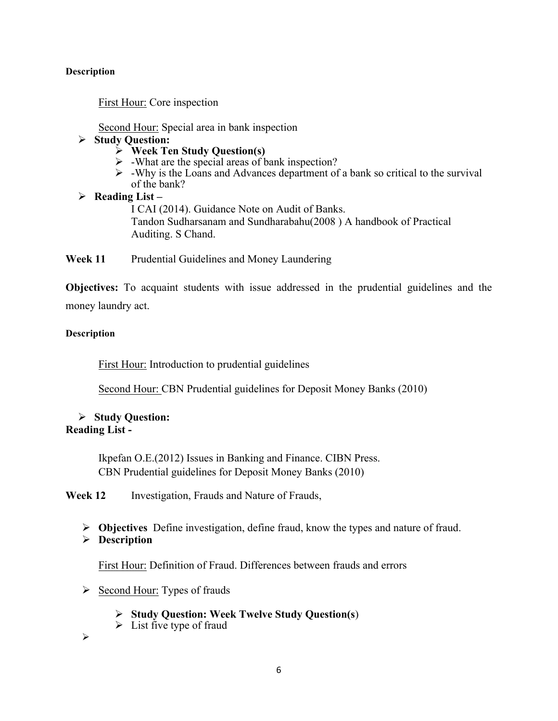#### **Description**

First Hour: Core inspection

Second Hour: Special area in bank inspection

## Ø **Study Question:**

- Ø **Week Ten Study Question(s)**
- $\triangleright$  -What are the special areas of bank inspection?
- $\triangleright$  -Why is the Loans and Advances department of a bank so critical to the survival of the bank?
- Ø **Reading List –** I CAI (2014). Guidance Note on Audit of Banks. Tandon Sudharsanam and Sundharabahu(2008 ) A handbook of Practical Auditing. S Chand.

Week 11 Prudential Guidelines and Money Laundering

**Objectives:** To acquaint students with issue addressed in the prudential guidelines and the money laundry act.

## **Description**

First Hour: Introduction to prudential guidelines

Second Hour: CBN Prudential guidelines for Deposit Money Banks (2010)

## Ø **Study Question: Reading List -**

Ikpefan O.E.(2012) Issues in Banking and Finance. CIBN Press. CBN Prudential guidelines for Deposit Money Banks (2010)

**Week 12** Investigation, Frauds and Nature of Frauds,

- Ø **Objectives** Define investigation, define fraud, know the types and nature of fraud.
- Ø **Description**

First Hour: Definition of Fraud. Differences between frauds and errors

- $\triangleright$  Second Hour: Types of frauds
	- Ø **Study Question: Week Twelve Study Question(s**)
	- $\triangleright$  List five type of fraud

Ø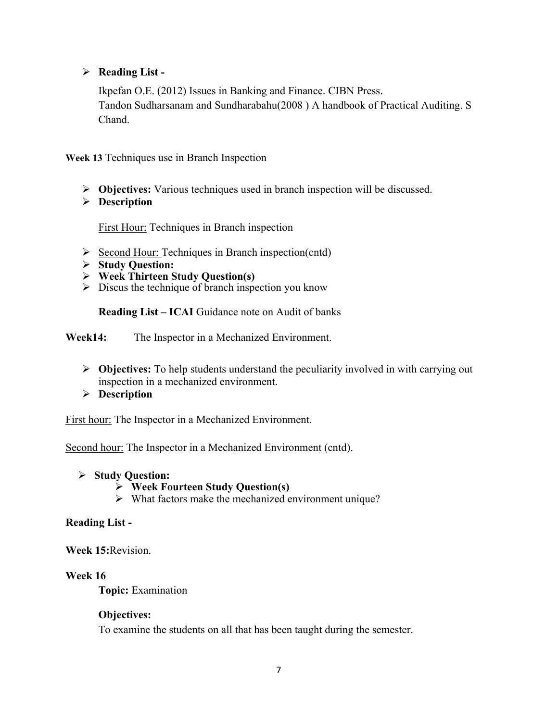# Ø **Reading List -**

Ikpefan O.E. (2012) Issues in Banking and Finance. CIBN Press. Tandon Sudharsanam and Sundharabahu(2008 ) A handbook of Practical Auditing. S Chand.

**Week 13** Techniques use in Branch Inspection

- Ø **Objectives:** Various techniques used in branch inspection will be discussed.
- Ø **Description**

First Hour: Techniques in Branch inspection

- $\triangleright$  Second Hour: Techniques in Branch inspection(cntd)
- Ø **Study Question:**
- Ø **Week Thirteen Study Question(s)**
- $\triangleright$  Discus the technique of branch inspection you know

**Reading List – ICAI** Guidance note on Audit of banks

**Week14:** The Inspector in a Mechanized Environment.

- Ø **Objectives:** To help students understand the peculiarity involved in with carrying out inspection in a mechanized environment.
- Ø **Description**

First hour: The Inspector in a Mechanized Environment.

Second hour: The Inspector in a Mechanized Environment (cntd).

- Ø **Study Question:** 
	- Ø **Week Fourteen Study Question(s)**
	- $\triangleright$  What factors make the mechanized environment unique?

#### **Reading List -**

**Week 15:**Revision.

#### **Week 16**

**Topic:** Examination

#### **Objectives:**

To examine the students on all that has been taught during the semester.